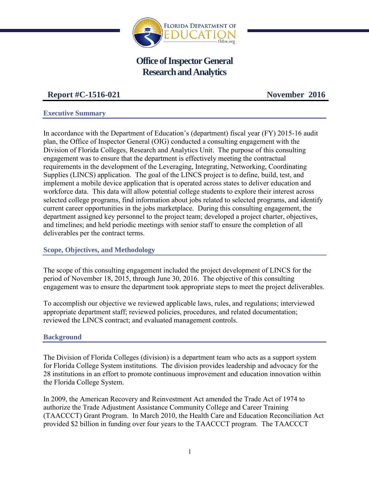

# **Office of Inspector General Research and Analytics**

# **Report #C-1516-021 November 2016**

#### **Executive Summary**

In accordance with the Department of Education's (department) fiscal year (FY) 2015-16 audit plan, the Office of Inspector General (OIG) conducted a consulting engagement with the Division of Florida Colleges, Research and Analytics Unit. The purpose of this consulting engagement was to ensure that the department is effectively meeting the contractual requirements in the development of the Leveraging, Integrating, Networking, Coordinating Supplies (LINCS) application. The goal of the LINCS project is to define, build, test, and implement a mobile device application that is operated across states to deliver education and workforce data. This data will allow potential college students to explore their interest across selected college programs, find information about jobs related to selected programs, and identify current career opportunities in the jobs marketplace. During this consulting engagement, the department assigned key personnel to the project team; developed a project charter, objectives, and timelines; and held periodic meetings with senior staff to ensure the completion of all deliverables per the contract terms.

#### **Scope, Objectives, and Methodology**

The scope of this consulting engagement included the project development of LINCS for the period of November 18, 2015, through June 30, 2016. The objective of this consulting engagement was to ensure the department took appropriate steps to meet the project deliverables.

To accomplish our objective we reviewed applicable laws, rules, and regulations; interviewed appropriate department staff; reviewed policies, procedures, and related documentation; reviewed the LINCS contract; and evaluated management controls.

#### **Background**

The Division of Florida Colleges (division) is a department team who acts as a support system for Florida College System institutions. The division provides leadership and advocacy for the 28 institutions in an effort to promote continuous improvement and education innovation within the Florida College System.

In 2009, the American Recovery and Reinvestment Act amended the Trade Act of 1974 to authorize the Trade Adjustment Assistance Community College and Career Training (TAACCCT) Grant Program. In March 2010, the Health Care and Education Reconciliation Act provided \$2 billion in funding over four years to the TAACCCT program. The TAACCCT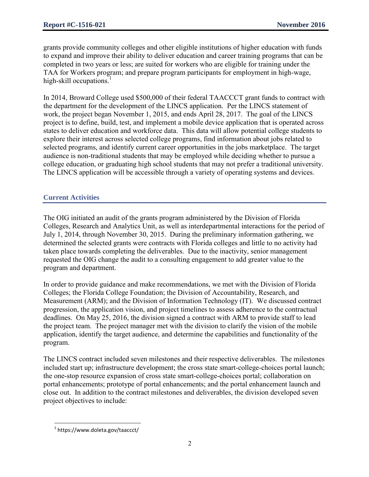grants provide community colleges and other eligible institutions of higher education with funds to expand and improve their ability to deliver education and career training programs that can be completed in two years or less; are suited for workers who are eligible for training under the TAA for Workers program; and prepare program participants for employment in high-wage, high-skill occupations.<sup>1</sup>

In 2014, Broward College used \$500,000 of their federal TAACCCT grant funds to contract with the department for the development of the LINCS application. Per the LINCS statement of work, the project began November 1, 2015, and ends April 28, 2017. The goal of the LINCS project is to define, build, test, and implement a mobile device application that is operated across states to deliver education and workforce data. This data will allow potential college students to explore their interest across selected college programs, find information about jobs related to selected programs, and identify current career opportunities in the jobs marketplace. The target audience is non-traditional students that may be employed while deciding whether to pursue a college education, or graduating high school students that may not prefer a traditional university. The LINCS application will be accessible through a variety of operating systems and devices.

### **Current Activities**

The OIG initiated an audit of the grants program administered by the Division of Florida Colleges, Research and Analytics Unit, as well as interdepartmental interactions for the period of July 1, 2014, through November 30, 2015. During the preliminary information gathering, we determined the selected grants were contracts with Florida colleges and little to no activity had taken place towards completing the deliverables. Due to the inactivity, senior management requested the OIG change the audit to a consulting engagement to add greater value to the program and department.

In order to provide guidance and make recommendations, we met with the Division of Florida Colleges; the Florida College Foundation; the Division of Accountability, Research, and Measurement (ARM); and the Division of Information Technology (IT). We discussed contract progression, the application vision, and project timelines to assess adherence to the contractual deadlines. On May 25, 2016, the division signed a contract with ARM to provide staff to lead the project team. The project manager met with the division to clarify the vision of the mobile application, identify the target audience, and determine the capabilities and functionality of the program.

The LINCS contract included seven milestones and their respective deliverables. The milestones included start up; infrastructure development; the cross state smart-college-choices portal launch; the one-stop resource expansion of cross state smart-college-choices portal; collaboration on portal enhancements; prototype of portal enhancements; and the portal enhancement launch and close out. In addition to the contract milestones and deliverables, the division developed seven project objectives to include:

 $\overline{\phantom{a}}$ 1 https://www.doleta.gov/taaccct/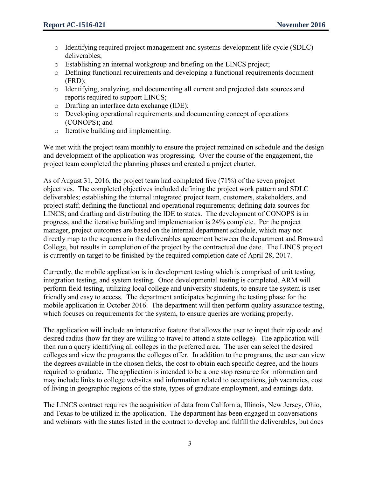- o Identifying required project management and systems development life cycle (SDLC) deliverables;
- o Establishing an internal workgroup and briefing on the LINCS project;
- o Defining functional requirements and developing a functional requirements document (FRD);
- o Identifying, analyzing, and documenting all current and projected data sources and reports required to support LINCS;
- o Drafting an interface data exchange (IDE);
- o Developing operational requirements and documenting concept of operations (CONOPS); and
- o Iterative building and implementing.

We met with the project team monthly to ensure the project remained on schedule and the design and development of the application was progressing. Over the course of the engagement, the project team completed the planning phases and created a project charter.

As of August 31, 2016, the project team had completed five (71%) of the seven project objectives. The completed objectives included defining the project work pattern and SDLC deliverables; establishing the internal integrated project team, customers, stakeholders, and project staff; defining the functional and operational requirements; defining data sources for LINCS; and drafting and distributing the IDE to states. The development of CONOPS is in progress, and the iterative building and implementation is 24% complete. Per the project manager, project outcomes are based on the internal department schedule, which may not directly map to the sequence in the deliverables agreement between the department and Broward College, but results in completion of the project by the contractual due date. The LINCS project is currently on target to be finished by the required completion date of April 28, 2017.

Currently, the mobile application is in development testing which is comprised of unit testing, integration testing, and system testing. Once developmental testing is completed, ARM will perform field testing, utilizing local college and university students, to ensure the system is user friendly and easy to access. The department anticipates beginning the testing phase for the mobile application in October 2016. The department will then perform quality assurance testing, which focuses on requirements for the system, to ensure queries are working properly.

The application will include an interactive feature that allows the user to input their zip code and desired radius (how far they are willing to travel to attend a state college). The application will then run a query identifying all colleges in the preferred area. The user can select the desired colleges and view the programs the colleges offer. In addition to the programs, the user can view the degrees available in the chosen fields, the cost to obtain each specific degree, and the hours required to graduate. The application is intended to be a one stop resource for information and may include links to college websites and information related to occupations, job vacancies, cost of living in geographic regions of the state, types of graduate employment, and earnings data.

The LINCS contract requires the acquisition of data from California, Illinois, New Jersey, Ohio, and Texas to be utilized in the application. The department has been engaged in conversations and webinars with the states listed in the contract to develop and fulfill the deliverables, but does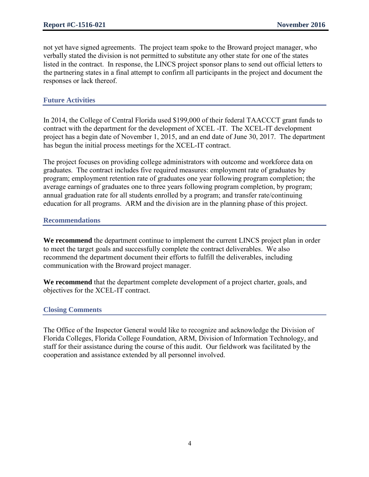not yet have signed agreements. The project team spoke to the Broward project manager, who verbally stated the division is not permitted to substitute any other state for one of the states listed in the contract. In response, the LINCS project sponsor plans to send out official letters to the partnering states in a final attempt to confirm all participants in the project and document the responses or lack thereof.

## **Future Activities**

In 2014, the College of Central Florida used \$199,000 of their federal TAACCCT grant funds to contract with the department for the development of XCEL -IT. The XCEL-IT development project has a begin date of November 1, 2015, and an end date of June 30, 2017. The department has begun the initial process meetings for the XCEL-IT contract.

The project focuses on providing college administrators with outcome and workforce data on graduates. The contract includes five required measures: employment rate of graduates by program; employment retention rate of graduates one year following program completion; the average earnings of graduates one to three years following program completion, by program; annual graduation rate for all students enrolled by a program; and transfer rate/continuing education for all programs. ARM and the division are in the planning phase of this project.

#### **Recommendations**

**We recommend** the department continue to implement the current LINCS project plan in order to meet the target goals and successfully complete the contract deliverables. We also recommend the department document their efforts to fulfill the deliverables, including communication with the Broward project manager.

**We recommend** that the department complete development of a project charter, goals, and objectives for the XCEL-IT contract.

#### **Closing Comments**

The Office of the Inspector General would like to recognize and acknowledge the Division of Florida Colleges, Florida College Foundation, ARM, Division of Information Technology, and staff for their assistance during the course of this audit. Our fieldwork was facilitated by the cooperation and assistance extended by all personnel involved.